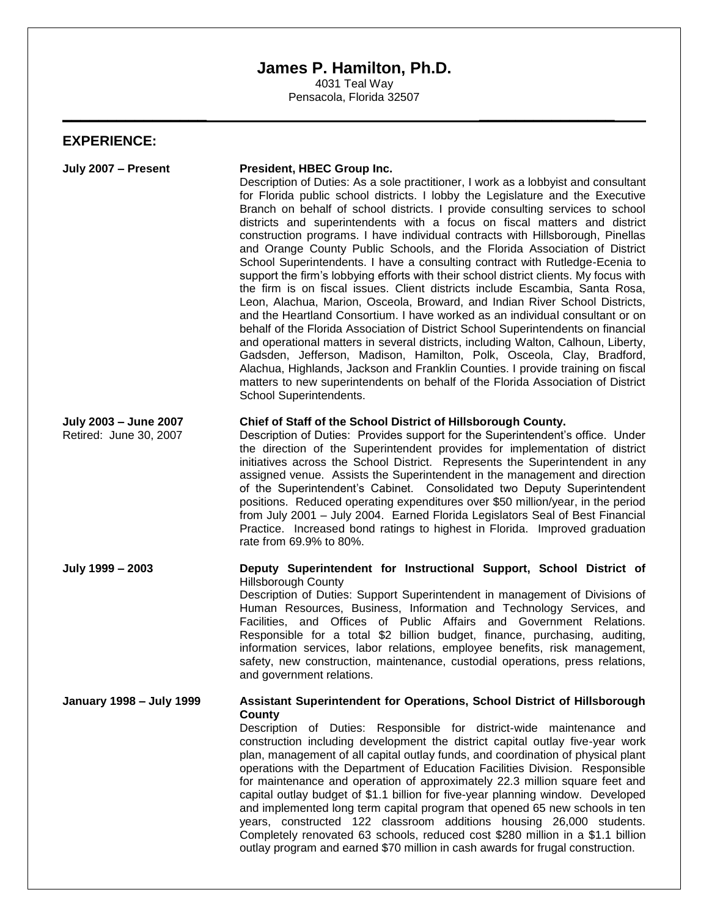## **James P. Hamilton, Ph.D.**

4031 Teal Way Pensacola, Florida 32507

**\_\_\_\_\_\_\_\_\_\_\_\_\_\_\_\_ \_\_\_\_\_\_\_\_\_\_\_\_\_\_\_**

## **EXPERIENCE:**

| July 2007 - Present                             | President, HBEC Group Inc.<br>Description of Duties: As a sole practitioner, I work as a lobbyist and consultant<br>for Florida public school districts. I lobby the Legislature and the Executive<br>Branch on behalf of school districts. I provide consulting services to school<br>districts and superintendents with a focus on fiscal matters and district<br>construction programs. I have individual contracts with Hillsborough, Pinellas<br>and Orange County Public Schools, and the Florida Association of District<br>School Superintendents. I have a consulting contract with Rutledge-Ecenia to<br>support the firm's lobbying efforts with their school district clients. My focus with<br>the firm is on fiscal issues. Client districts include Escambia, Santa Rosa,<br>Leon, Alachua, Marion, Osceola, Broward, and Indian River School Districts,<br>and the Heartland Consortium. I have worked as an individual consultant or on<br>behalf of the Florida Association of District School Superintendents on financial<br>and operational matters in several districts, including Walton, Calhoun, Liberty,<br>Gadsden, Jefferson, Madison, Hamilton, Polk, Osceola, Clay, Bradford,<br>Alachua, Highlands, Jackson and Franklin Counties. I provide training on fiscal<br>matters to new superintendents on behalf of the Florida Association of District<br>School Superintendents. |
|-------------------------------------------------|--------------------------------------------------------------------------------------------------------------------------------------------------------------------------------------------------------------------------------------------------------------------------------------------------------------------------------------------------------------------------------------------------------------------------------------------------------------------------------------------------------------------------------------------------------------------------------------------------------------------------------------------------------------------------------------------------------------------------------------------------------------------------------------------------------------------------------------------------------------------------------------------------------------------------------------------------------------------------------------------------------------------------------------------------------------------------------------------------------------------------------------------------------------------------------------------------------------------------------------------------------------------------------------------------------------------------------------------------------------------------------------------------------------|
| July 2003 - June 2007<br>Retired: June 30, 2007 | Chief of Staff of the School District of Hillsborough County.<br>Description of Duties: Provides support for the Superintendent's office. Under<br>the direction of the Superintendent provides for implementation of district<br>initiatives across the School District. Represents the Superintendent in any<br>assigned venue. Assists the Superintendent in the management and direction<br>of the Superintendent's Cabinet. Consolidated two Deputy Superintendent<br>positions. Reduced operating expenditures over \$50 million/year, in the period<br>from July 2001 - July 2004. Earned Florida Legislators Seal of Best Financial<br>Practice. Increased bond ratings to highest in Florida. Improved graduation<br>rate from 69.9% to 80%.                                                                                                                                                                                                                                                                                                                                                                                                                                                                                                                                                                                                                                                        |
| July 1999 - 2003                                | Deputy Superintendent for Instructional Support, School District of<br><b>Hillsborough County</b><br>Description of Duties: Support Superintendent in management of Divisions of<br>Human Resources, Business, Information and Technology Services, and<br>Facilities, and Offices of Public Affairs and Government Relations.<br>Responsible for a total \$2 billion budget, finance, purchasing, auditing,<br>information services, labor relations, employee benefits, risk management,<br>safety, new construction, maintenance, custodial operations, press relations,<br>and government relations.                                                                                                                                                                                                                                                                                                                                                                                                                                                                                                                                                                                                                                                                                                                                                                                                     |
| <b>January 1998 - July 1999</b>                 | Assistant Superintendent for Operations, School District of Hillsborough<br>County<br>Description of Duties: Responsible for district-wide maintenance and<br>construction including development the district capital outlay five-year work<br>plan, management of all capital outlay funds, and coordination of physical plant<br>operations with the Department of Education Facilities Division. Responsible<br>for maintenance and operation of approximately 22.3 million square feet and<br>capital outlay budget of \$1.1 billion for five-year planning window. Developed<br>and implemented long term capital program that opened 65 new schools in ten<br>years, constructed 122 classroom additions housing 26,000 students.<br>Completely renovated 63 schools, reduced cost \$280 million in a \$1.1 billion<br>outlay program and earned \$70 million in cash awards for frugal construction.                                                                                                                                                                                                                                                                                                                                                                                                                                                                                                  |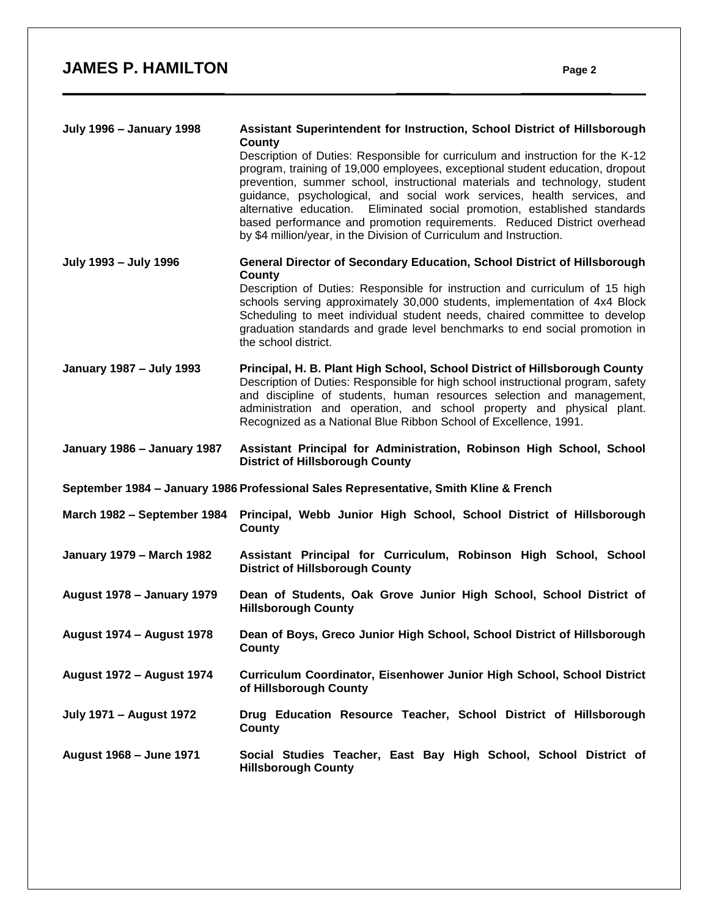| <b>July 1996 - January 1998</b>                                                       | Assistant Superintendent for Instruction, School District of Hillsborough<br>County<br>Description of Duties: Responsible for curriculum and instruction for the K-12<br>program, training of 19,000 employees, exceptional student education, dropout<br>prevention, summer school, instructional materials and technology, student<br>guidance, psychological, and social work services, health services, and<br>Eliminated social promotion, established standards<br>alternative education.<br>based performance and promotion requirements. Reduced District overhead<br>by \$4 million/year, in the Division of Curriculum and Instruction. |  |
|---------------------------------------------------------------------------------------|---------------------------------------------------------------------------------------------------------------------------------------------------------------------------------------------------------------------------------------------------------------------------------------------------------------------------------------------------------------------------------------------------------------------------------------------------------------------------------------------------------------------------------------------------------------------------------------------------------------------------------------------------|--|
| July 1993 - July 1996                                                                 | General Director of Secondary Education, School District of Hillsborough<br>County                                                                                                                                                                                                                                                                                                                                                                                                                                                                                                                                                                |  |
|                                                                                       | Description of Duties: Responsible for instruction and curriculum of 15 high<br>schools serving approximately 30,000 students, implementation of 4x4 Block<br>Scheduling to meet individual student needs, chaired committee to develop<br>graduation standards and grade level benchmarks to end social promotion in<br>the school district.                                                                                                                                                                                                                                                                                                     |  |
| January 1987 - July 1993                                                              | Principal, H. B. Plant High School, School District of Hillsborough County<br>Description of Duties: Responsible for high school instructional program, safety<br>and discipline of students, human resources selection and management,<br>administration and operation, and school property and physical plant.<br>Recognized as a National Blue Ribbon School of Excellence, 1991.                                                                                                                                                                                                                                                              |  |
| January 1986 - January 1987                                                           | Assistant Principal for Administration, Robinson High School, School<br><b>District of Hillsborough County</b>                                                                                                                                                                                                                                                                                                                                                                                                                                                                                                                                    |  |
| September 1984 - January 1986 Professional Sales Representative, Smith Kline & French |                                                                                                                                                                                                                                                                                                                                                                                                                                                                                                                                                                                                                                                   |  |
| March 1982 - September 1984                                                           | Principal, Webb Junior High School, School District of Hillsborough<br><b>County</b>                                                                                                                                                                                                                                                                                                                                                                                                                                                                                                                                                              |  |
| <b>January 1979 - March 1982</b>                                                      | Assistant Principal for Curriculum, Robinson High School, School<br><b>District of Hillsborough County</b>                                                                                                                                                                                                                                                                                                                                                                                                                                                                                                                                        |  |
| <b>August 1978 - January 1979</b>                                                     | Dean of Students, Oak Grove Junior High School, School District of<br><b>Hillsborough County</b>                                                                                                                                                                                                                                                                                                                                                                                                                                                                                                                                                  |  |
| <b>August 1974 - August 1978</b>                                                      | Dean of Boys, Greco Junior High School, School District of Hillsborough<br>County                                                                                                                                                                                                                                                                                                                                                                                                                                                                                                                                                                 |  |
| <b>August 1972 - August 1974</b>                                                      | Curriculum Coordinator, Eisenhower Junior High School, School District<br>of Hillsborough County                                                                                                                                                                                                                                                                                                                                                                                                                                                                                                                                                  |  |
| <b>July 1971 - August 1972</b>                                                        | Drug Education Resource Teacher, School District of Hillsborough<br>County                                                                                                                                                                                                                                                                                                                                                                                                                                                                                                                                                                        |  |
| August 1968 - June 1971                                                               | Social Studies Teacher, East Bay High School, School District of<br><b>Hillsborough County</b>                                                                                                                                                                                                                                                                                                                                                                                                                                                                                                                                                    |  |

**\_\_\_\_\_\_\_\_\_\_\_\_\_\_\_\_\_\_ \_\_\_\_\_\_ \_\_\_\_\_\_\_\_\_\_**